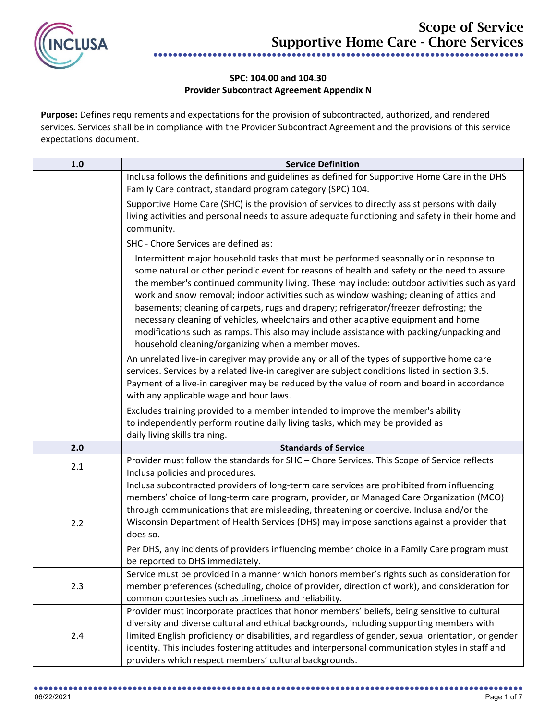

## **SPC: 104.00 and 104.30 Provider Subcontract Agreement Appendix N**

**Purpose:** Defines requirements and expectations for the provision of subcontracted, authorized, and rendered services. Services shall be in compliance with the Provider Subcontract Agreement and the provisions of this service expectations document.

| 1.0 | <b>Service Definition</b>                                                                                                                                                                                                                                                                                                                                                                                                                                                                                                                                                                                                                                                                                        |
|-----|------------------------------------------------------------------------------------------------------------------------------------------------------------------------------------------------------------------------------------------------------------------------------------------------------------------------------------------------------------------------------------------------------------------------------------------------------------------------------------------------------------------------------------------------------------------------------------------------------------------------------------------------------------------------------------------------------------------|
|     | Inclusa follows the definitions and guidelines as defined for Supportive Home Care in the DHS                                                                                                                                                                                                                                                                                                                                                                                                                                                                                                                                                                                                                    |
|     | Family Care contract, standard program category (SPC) 104.                                                                                                                                                                                                                                                                                                                                                                                                                                                                                                                                                                                                                                                       |
|     | Supportive Home Care (SHC) is the provision of services to directly assist persons with daily<br>living activities and personal needs to assure adequate functioning and safety in their home and<br>community.                                                                                                                                                                                                                                                                                                                                                                                                                                                                                                  |
|     | SHC - Chore Services are defined as:                                                                                                                                                                                                                                                                                                                                                                                                                                                                                                                                                                                                                                                                             |
|     | Intermittent major household tasks that must be performed seasonally or in response to<br>some natural or other periodic event for reasons of health and safety or the need to assure<br>the member's continued community living. These may include: outdoor activities such as yard<br>work and snow removal; indoor activities such as window washing; cleaning of attics and<br>basements; cleaning of carpets, rugs and drapery; refrigerator/freezer defrosting; the<br>necessary cleaning of vehicles, wheelchairs and other adaptive equipment and home<br>modifications such as ramps. This also may include assistance with packing/unpacking and<br>household cleaning/organizing when a member moves. |
|     | An unrelated live-in caregiver may provide any or all of the types of supportive home care<br>services. Services by a related live-in caregiver are subject conditions listed in section 3.5.<br>Payment of a live-in caregiver may be reduced by the value of room and board in accordance<br>with any applicable wage and hour laws.                                                                                                                                                                                                                                                                                                                                                                           |
|     | Excludes training provided to a member intended to improve the member's ability                                                                                                                                                                                                                                                                                                                                                                                                                                                                                                                                                                                                                                  |
|     | to independently perform routine daily living tasks, which may be provided as                                                                                                                                                                                                                                                                                                                                                                                                                                                                                                                                                                                                                                    |
|     | daily living skills training.                                                                                                                                                                                                                                                                                                                                                                                                                                                                                                                                                                                                                                                                                    |
| 2.0 | <b>Standards of Service</b>                                                                                                                                                                                                                                                                                                                                                                                                                                                                                                                                                                                                                                                                                      |
| 2.1 | Provider must follow the standards for SHC - Chore Services. This Scope of Service reflects<br>Inclusa policies and procedures.                                                                                                                                                                                                                                                                                                                                                                                                                                                                                                                                                                                  |
| 2.2 | Inclusa subcontracted providers of long-term care services are prohibited from influencing<br>members' choice of long-term care program, provider, or Managed Care Organization (MCO)<br>through communications that are misleading, threatening or coercive. Inclusa and/or the<br>Wisconsin Department of Health Services (DHS) may impose sanctions against a provider that<br>does so.                                                                                                                                                                                                                                                                                                                       |
|     | Per DHS, any incidents of providers influencing member choice in a Family Care program must<br>be reported to DHS immediately.                                                                                                                                                                                                                                                                                                                                                                                                                                                                                                                                                                                   |
| 2.3 | Service must be provided in a manner which honors member's rights such as consideration for<br>member preferences (scheduling, choice of provider, direction of work), and consideration for<br>common courtesies such as timeliness and reliability.                                                                                                                                                                                                                                                                                                                                                                                                                                                            |
| 2.4 | Provider must incorporate practices that honor members' beliefs, being sensitive to cultural<br>diversity and diverse cultural and ethical backgrounds, including supporting members with<br>limited English proficiency or disabilities, and regardless of gender, sexual orientation, or gender<br>identity. This includes fostering attitudes and interpersonal communication styles in staff and<br>providers which respect members' cultural backgrounds.                                                                                                                                                                                                                                                   |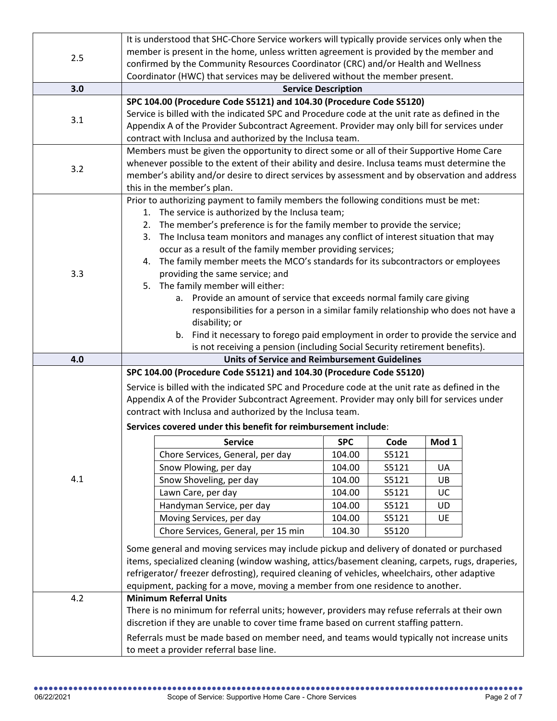|     | It is understood that SHC-Chore Service workers will typically provide services only when the                                                    |            |       |       |  |
|-----|--------------------------------------------------------------------------------------------------------------------------------------------------|------------|-------|-------|--|
| 2.5 | member is present in the home, unless written agreement is provided by the member and                                                            |            |       |       |  |
|     | confirmed by the Community Resources Coordinator (CRC) and/or Health and Wellness                                                                |            |       |       |  |
|     | Coordinator (HWC) that services may be delivered without the member present.                                                                     |            |       |       |  |
| 3.0 | <b>Service Description</b>                                                                                                                       |            |       |       |  |
|     | SPC 104.00 (Procedure Code S5121) and 104.30 (Procedure Code S5120)                                                                              |            |       |       |  |
| 3.1 | Service is billed with the indicated SPC and Procedure code at the unit rate as defined in the                                                   |            |       |       |  |
|     | Appendix A of the Provider Subcontract Agreement. Provider may only bill for services under                                                      |            |       |       |  |
|     | contract with Inclusa and authorized by the Inclusa team.                                                                                        |            |       |       |  |
| 3.2 | Members must be given the opportunity to direct some or all of their Supportive Home Care                                                        |            |       |       |  |
|     | whenever possible to the extent of their ability and desire. Inclusa teams must determine the                                                    |            |       |       |  |
|     | member's ability and/or desire to direct services by assessment and by observation and address                                                   |            |       |       |  |
|     | this in the member's plan.                                                                                                                       |            |       |       |  |
|     | Prior to authorizing payment to family members the following conditions must be met:                                                             |            |       |       |  |
|     | 1. The service is authorized by the Inclusa team;                                                                                                |            |       |       |  |
|     | 2. The member's preference is for the family member to provide the service;                                                                      |            |       |       |  |
|     | 3. The Inclusa team monitors and manages any conflict of interest situation that may                                                             |            |       |       |  |
|     | occur as a result of the family member providing services;<br>4. The family member meets the MCO's standards for its subcontractors or employees |            |       |       |  |
| 3.3 | providing the same service; and                                                                                                                  |            |       |       |  |
|     | 5. The family member will either:                                                                                                                |            |       |       |  |
|     | a. Provide an amount of service that exceeds normal family care giving                                                                           |            |       |       |  |
|     | responsibilities for a person in a similar family relationship who does not have a                                                               |            |       |       |  |
|     | disability; or                                                                                                                                   |            |       |       |  |
|     | b. Find it necessary to forego paid employment in order to provide the service and                                                               |            |       |       |  |
|     | is not receiving a pension (including Social Security retirement benefits).                                                                      |            |       |       |  |
| 4.0 | <b>Units of Service and Reimbursement Guidelines</b>                                                                                             |            |       |       |  |
|     | SPC 104.00 (Procedure Code S5121) and 104.30 (Procedure Code S5120)                                                                              |            |       |       |  |
|     | Service is billed with the indicated SPC and Procedure code at the unit rate as defined in the                                                   |            |       |       |  |
|     | Appendix A of the Provider Subcontract Agreement. Provider may only bill for services under                                                      |            |       |       |  |
|     | contract with Inclusa and authorized by the Inclusa team.                                                                                        |            |       |       |  |
|     | Services covered under this benefit for reimbursement include:                                                                                   |            |       |       |  |
|     | <b>Service</b>                                                                                                                                   | <b>SPC</b> | Code  | Mod 1 |  |
|     | Chore Services, General, per day                                                                                                                 | 104.00     | S5121 |       |  |
|     |                                                                                                                                                  |            |       |       |  |
|     | Snow Plowing, per day                                                                                                                            | 104.00     | S5121 | UA    |  |
| 4.1 | Snow Shoveling, per day                                                                                                                          | 104.00     | S5121 | UB.   |  |
|     | Lawn Care, per day                                                                                                                               | 104.00     | S5121 | UC    |  |
|     | Handyman Service, per day                                                                                                                        | 104.00     | S5121 | UD    |  |
|     | Moving Services, per day                                                                                                                         | 104.00     | S5121 | UE    |  |
|     | Chore Services, General, per 15 min                                                                                                              | 104.30     | S5120 |       |  |
|     |                                                                                                                                                  |            |       |       |  |
|     | Some general and moving services may include pickup and delivery of donated or purchased                                                         |            |       |       |  |
|     | items, specialized cleaning (window washing, attics/basement cleaning, carpets, rugs, draperies,                                                 |            |       |       |  |
|     | refrigerator/ freezer defrosting), required cleaning of vehicles, wheelchairs, other adaptive                                                    |            |       |       |  |
| 4.2 | equipment, packing for a move, moving a member from one residence to another.<br><b>Minimum Referral Units</b>                                   |            |       |       |  |
|     | There is no minimum for referral units; however, providers may refuse referrals at their own                                                     |            |       |       |  |
|     | discretion if they are unable to cover time frame based on current staffing pattern.                                                             |            |       |       |  |
|     | Referrals must be made based on member need, and teams would typically not increase units                                                        |            |       |       |  |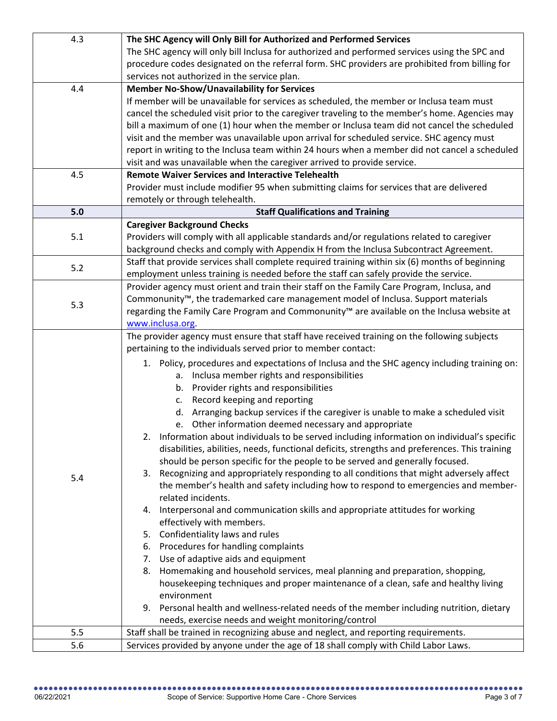| 4.3 | The SHC Agency will Only Bill for Authorized and Performed Services                                      |
|-----|----------------------------------------------------------------------------------------------------------|
|     | The SHC agency will only bill Inclusa for authorized and performed services using the SPC and            |
|     | procedure codes designated on the referral form. SHC providers are prohibited from billing for           |
|     | services not authorized in the service plan.                                                             |
| 4.4 | <b>Member No-Show/Unavailability for Services</b>                                                        |
|     | If member will be unavailable for services as scheduled, the member or Inclusa team must                 |
|     | cancel the scheduled visit prior to the caregiver traveling to the member's home. Agencies may           |
|     | bill a maximum of one (1) hour when the member or Inclusa team did not cancel the scheduled              |
|     | visit and the member was unavailable upon arrival for scheduled service. SHC agency must                 |
|     | report in writing to the Inclusa team within 24 hours when a member did not cancel a scheduled           |
|     | visit and was unavailable when the caregiver arrived to provide service.                                 |
| 4.5 | <b>Remote Waiver Services and Interactive Telehealth</b>                                                 |
|     | Provider must include modifier 95 when submitting claims for services that are delivered                 |
|     | remotely or through telehealth.                                                                          |
| 5.0 | <b>Staff Qualifications and Training</b>                                                                 |
|     | <b>Caregiver Background Checks</b>                                                                       |
| 5.1 | Providers will comply with all applicable standards and/or regulations related to caregiver              |
|     | background checks and comply with Appendix H from the Inclusa Subcontract Agreement.                     |
| 5.2 | Staff that provide services shall complete required training within six (6) months of beginning          |
|     | employment unless training is needed before the staff can safely provide the service.                    |
|     | Provider agency must orient and train their staff on the Family Care Program, Inclusa, and               |
| 5.3 | Commonunity <sup>™</sup> , the trademarked care management model of Inclusa. Support materials           |
|     | regarding the Family Care Program and Commonunity™ are available on the Inclusa website at               |
|     | www.inclusa.org.                                                                                         |
|     | The provider agency must ensure that staff have received training on the following subjects              |
|     | pertaining to the individuals served prior to member contact:                                            |
|     | 1. Policy, procedures and expectations of Inclusa and the SHC agency including training on:              |
|     | a. Inclusa member rights and responsibilities                                                            |
|     | b. Provider rights and responsibilities                                                                  |
|     | Record keeping and reporting<br>c.                                                                       |
|     | d. Arranging backup services if the caregiver is unable to make a scheduled visit                        |
|     | Other information deemed necessary and appropriate<br>e.                                                 |
|     | 2. Information about individuals to be served including information on individual's specific             |
|     | disabilities, abilities, needs, functional deficits, strengths and preferences. This training            |
|     | should be person specific for the people to be served and generally focused.                             |
| 5.4 | 3. Recognizing and appropriately responding to all conditions that might adversely affect                |
|     | the member's health and safety including how to respond to emergencies and member-<br>related incidents. |
|     | 4. Interpersonal and communication skills and appropriate attitudes for working                          |
|     | effectively with members.                                                                                |
|     | 5. Confidentiality laws and rules                                                                        |
|     | 6. Procedures for handling complaints                                                                    |
|     | 7. Use of adaptive aids and equipment                                                                    |
|     | 8. Homemaking and household services, meal planning and preparation, shopping,                           |
|     | housekeeping techniques and proper maintenance of a clean, safe and healthy living                       |
|     | environment                                                                                              |
|     | 9. Personal health and wellness-related needs of the member including nutrition, dietary                 |
|     | needs, exercise needs and weight monitoring/control                                                      |
| 5.5 | Staff shall be trained in recognizing abuse and neglect, and reporting requirements.                     |
| 5.6 | Services provided by anyone under the age of 18 shall comply with Child Labor Laws.                      |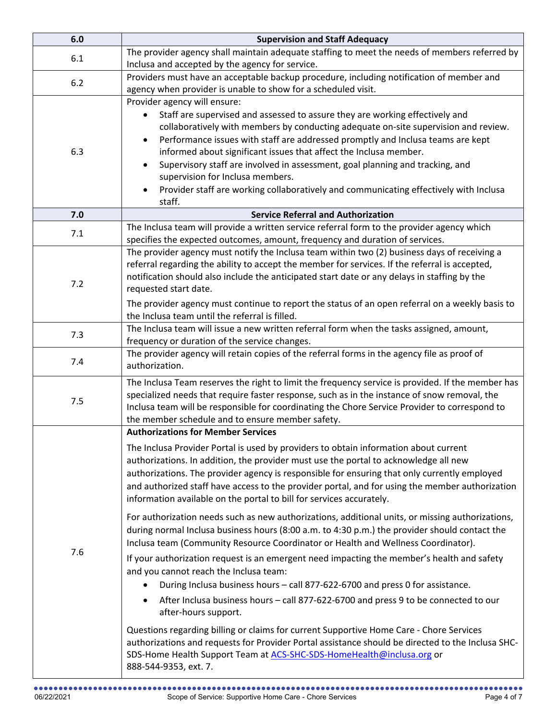| 6.0 | <b>Supervision and Staff Adequacy</b>                                                                                                                                                                                                                                                                                                                                                                                                                                                                                                                                                                                                                                                                                                                                                                                                                                                                                                                                                                                                                                                                                                                                                                                                                                                                                                                                                                                                                 |  |
|-----|-------------------------------------------------------------------------------------------------------------------------------------------------------------------------------------------------------------------------------------------------------------------------------------------------------------------------------------------------------------------------------------------------------------------------------------------------------------------------------------------------------------------------------------------------------------------------------------------------------------------------------------------------------------------------------------------------------------------------------------------------------------------------------------------------------------------------------------------------------------------------------------------------------------------------------------------------------------------------------------------------------------------------------------------------------------------------------------------------------------------------------------------------------------------------------------------------------------------------------------------------------------------------------------------------------------------------------------------------------------------------------------------------------------------------------------------------------|--|
| 6.1 | The provider agency shall maintain adequate staffing to meet the needs of members referred by<br>Inclusa and accepted by the agency for service.                                                                                                                                                                                                                                                                                                                                                                                                                                                                                                                                                                                                                                                                                                                                                                                                                                                                                                                                                                                                                                                                                                                                                                                                                                                                                                      |  |
| 6.2 | Providers must have an acceptable backup procedure, including notification of member and<br>agency when provider is unable to show for a scheduled visit.                                                                                                                                                                                                                                                                                                                                                                                                                                                                                                                                                                                                                                                                                                                                                                                                                                                                                                                                                                                                                                                                                                                                                                                                                                                                                             |  |
| 6.3 | Provider agency will ensure:<br>Staff are supervised and assessed to assure they are working effectively and<br>collaboratively with members by conducting adequate on-site supervision and review.<br>Performance issues with staff are addressed promptly and Inclusa teams are kept<br>$\bullet$<br>informed about significant issues that affect the Inclusa member.<br>Supervisory staff are involved in assessment, goal planning and tracking, and<br>supervision for Inclusa members.<br>Provider staff are working collaboratively and communicating effectively with Inclusa<br>staff.                                                                                                                                                                                                                                                                                                                                                                                                                                                                                                                                                                                                                                                                                                                                                                                                                                                      |  |
| 7.0 | <b>Service Referral and Authorization</b>                                                                                                                                                                                                                                                                                                                                                                                                                                                                                                                                                                                                                                                                                                                                                                                                                                                                                                                                                                                                                                                                                                                                                                                                                                                                                                                                                                                                             |  |
| 7.1 | The Inclusa team will provide a written service referral form to the provider agency which<br>specifies the expected outcomes, amount, frequency and duration of services.                                                                                                                                                                                                                                                                                                                                                                                                                                                                                                                                                                                                                                                                                                                                                                                                                                                                                                                                                                                                                                                                                                                                                                                                                                                                            |  |
| 7.2 | The provider agency must notify the Inclusa team within two (2) business days of receiving a<br>referral regarding the ability to accept the member for services. If the referral is accepted,<br>notification should also include the anticipated start date or any delays in staffing by the<br>requested start date.<br>The provider agency must continue to report the status of an open referral on a weekly basis to<br>the Inclusa team until the referral is filled.                                                                                                                                                                                                                                                                                                                                                                                                                                                                                                                                                                                                                                                                                                                                                                                                                                                                                                                                                                          |  |
| 7.3 | The Inclusa team will issue a new written referral form when the tasks assigned, amount,<br>frequency or duration of the service changes.                                                                                                                                                                                                                                                                                                                                                                                                                                                                                                                                                                                                                                                                                                                                                                                                                                                                                                                                                                                                                                                                                                                                                                                                                                                                                                             |  |
| 7.4 | The provider agency will retain copies of the referral forms in the agency file as proof of<br>authorization.                                                                                                                                                                                                                                                                                                                                                                                                                                                                                                                                                                                                                                                                                                                                                                                                                                                                                                                                                                                                                                                                                                                                                                                                                                                                                                                                         |  |
| 7.5 | The Inclusa Team reserves the right to limit the frequency service is provided. If the member has<br>specialized needs that require faster response, such as in the instance of snow removal, the<br>Inclusa team will be responsible for coordinating the Chore Service Provider to correspond to<br>the member schedule and to ensure member safety.                                                                                                                                                                                                                                                                                                                                                                                                                                                                                                                                                                                                                                                                                                                                                                                                                                                                                                                                                                                                                                                                                                |  |
| 7.6 | <b>Authorizations for Member Services</b><br>The Inclusa Provider Portal is used by providers to obtain information about current<br>authorizations. In addition, the provider must use the portal to acknowledge all new<br>authorizations. The provider agency is responsible for ensuring that only currently employed<br>and authorized staff have access to the provider portal, and for using the member authorization<br>information available on the portal to bill for services accurately.<br>For authorization needs such as new authorizations, additional units, or missing authorizations,<br>during normal Inclusa business hours (8:00 a.m. to 4:30 p.m.) the provider should contact the<br>Inclusa team (Community Resource Coordinator or Health and Wellness Coordinator).<br>If your authorization request is an emergent need impacting the member's health and safety<br>and you cannot reach the Inclusa team:<br>During Inclusa business hours - call 877-622-6700 and press 0 for assistance.<br>After Inclusa business hours - call 877-622-6700 and press 9 to be connected to our<br>$\bullet$<br>after-hours support.<br>Questions regarding billing or claims for current Supportive Home Care - Chore Services<br>authorizations and requests for Provider Portal assistance should be directed to the Inclusa SHC-<br>SDS-Home Health Support Team at ACS-SHC-SDS-HomeHealth@inclusa.org or<br>888-544-9353, ext. 7. |  |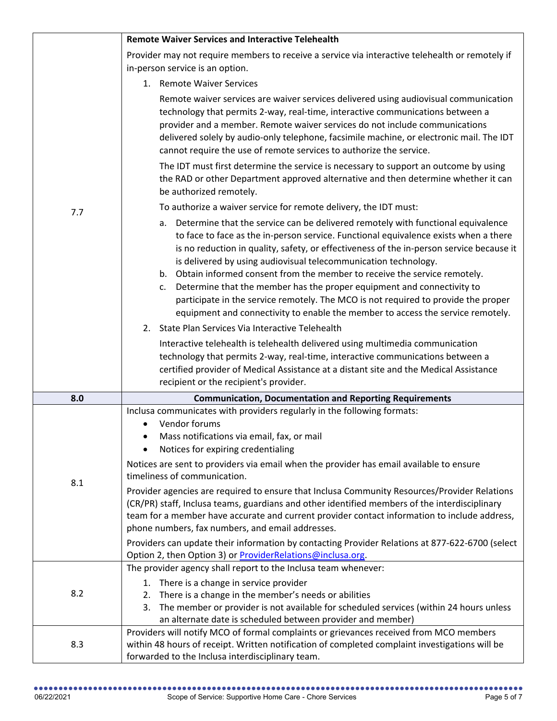|     | <b>Remote Waiver Services and Interactive Telehealth</b>                                                                                                                                                                                                                                                                                                                                                                                                                                                                                                                                                                                                                                                                                                                                                                      |
|-----|-------------------------------------------------------------------------------------------------------------------------------------------------------------------------------------------------------------------------------------------------------------------------------------------------------------------------------------------------------------------------------------------------------------------------------------------------------------------------------------------------------------------------------------------------------------------------------------------------------------------------------------------------------------------------------------------------------------------------------------------------------------------------------------------------------------------------------|
|     | Provider may not require members to receive a service via interactive telehealth or remotely if                                                                                                                                                                                                                                                                                                                                                                                                                                                                                                                                                                                                                                                                                                                               |
|     | in-person service is an option.                                                                                                                                                                                                                                                                                                                                                                                                                                                                                                                                                                                                                                                                                                                                                                                               |
|     | 1. Remote Waiver Services                                                                                                                                                                                                                                                                                                                                                                                                                                                                                                                                                                                                                                                                                                                                                                                                     |
|     | Remote waiver services are waiver services delivered using audiovisual communication<br>technology that permits 2-way, real-time, interactive communications between a<br>provider and a member. Remote waiver services do not include communications<br>delivered solely by audio-only telephone, facsimile machine, or electronic mail. The IDT<br>cannot require the use of remote services to authorize the service.                                                                                                                                                                                                                                                                                                                                                                                                      |
|     | The IDT must first determine the service is necessary to support an outcome by using<br>the RAD or other Department approved alternative and then determine whether it can<br>be authorized remotely.                                                                                                                                                                                                                                                                                                                                                                                                                                                                                                                                                                                                                         |
| 7.7 | To authorize a waiver service for remote delivery, the IDT must:                                                                                                                                                                                                                                                                                                                                                                                                                                                                                                                                                                                                                                                                                                                                                              |
|     | Determine that the service can be delivered remotely with functional equivalence<br>a.<br>to face to face as the in-person service. Functional equivalence exists when a there<br>is no reduction in quality, safety, or effectiveness of the in-person service because it<br>is delivered by using audiovisual telecommunication technology.<br>b. Obtain informed consent from the member to receive the service remotely.<br>Determine that the member has the proper equipment and connectivity to<br>c.<br>participate in the service remotely. The MCO is not required to provide the proper<br>equipment and connectivity to enable the member to access the service remotely.                                                                                                                                         |
|     | 2. State Plan Services Via Interactive Telehealth                                                                                                                                                                                                                                                                                                                                                                                                                                                                                                                                                                                                                                                                                                                                                                             |
|     | Interactive telehealth is telehealth delivered using multimedia communication<br>technology that permits 2-way, real-time, interactive communications between a<br>certified provider of Medical Assistance at a distant site and the Medical Assistance<br>recipient or the recipient's provider.                                                                                                                                                                                                                                                                                                                                                                                                                                                                                                                            |
| 8.0 | <b>Communication, Documentation and Reporting Requirements</b>                                                                                                                                                                                                                                                                                                                                                                                                                                                                                                                                                                                                                                                                                                                                                                |
| 8.1 | Inclusa communicates with providers regularly in the following formats:<br>Vendor forums<br>Mass notifications via email, fax, or mail<br>Notices for expiring credentialing<br>Notices are sent to providers via email when the provider has email available to ensure<br>timeliness of communication.<br>Provider agencies are required to ensure that Inclusa Community Resources/Provider Relations<br>(CR/PR) staff, Inclusa teams, guardians and other identified members of the interdisciplinary<br>team for a member have accurate and current provider contact information to include address,<br>phone numbers, fax numbers, and email addresses.<br>Providers can update their information by contacting Provider Relations at 877-622-6700 (select<br>Option 2, then Option 3) or ProviderRelations@inclusa.org. |
|     | The provider agency shall report to the Inclusa team whenever:                                                                                                                                                                                                                                                                                                                                                                                                                                                                                                                                                                                                                                                                                                                                                                |
| 8.2 | 1. There is a change in service provider<br>2. There is a change in the member's needs or abilities<br>The member or provider is not available for scheduled services (within 24 hours unless<br>an alternate date is scheduled between provider and member)                                                                                                                                                                                                                                                                                                                                                                                                                                                                                                                                                                  |
| 8.3 | Providers will notify MCO of formal complaints or grievances received from MCO members<br>within 48 hours of receipt. Written notification of completed complaint investigations will be<br>forwarded to the Inclusa interdisciplinary team.                                                                                                                                                                                                                                                                                                                                                                                                                                                                                                                                                                                  |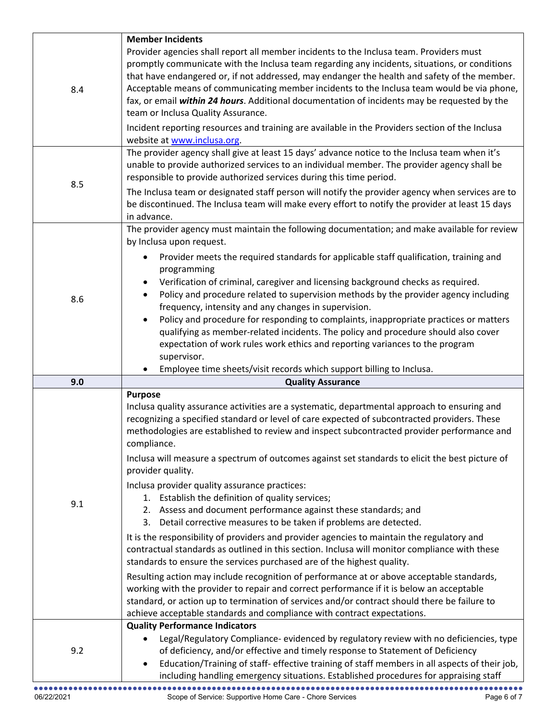|     | <b>Member Incidents</b>                                                                                                                                                                                                                                                                                                                                                                                                                                                                                                                                                                                                                                                                                                                                                                                                                                                                                                                                                                                                                                                                                                                                                                                                                                                                                                       |
|-----|-------------------------------------------------------------------------------------------------------------------------------------------------------------------------------------------------------------------------------------------------------------------------------------------------------------------------------------------------------------------------------------------------------------------------------------------------------------------------------------------------------------------------------------------------------------------------------------------------------------------------------------------------------------------------------------------------------------------------------------------------------------------------------------------------------------------------------------------------------------------------------------------------------------------------------------------------------------------------------------------------------------------------------------------------------------------------------------------------------------------------------------------------------------------------------------------------------------------------------------------------------------------------------------------------------------------------------|
| 8.4 | Provider agencies shall report all member incidents to the Inclusa team. Providers must<br>promptly communicate with the Inclusa team regarding any incidents, situations, or conditions<br>that have endangered or, if not addressed, may endanger the health and safety of the member.<br>Acceptable means of communicating member incidents to the Inclusa team would be via phone,<br>fax, or email within 24 hours. Additional documentation of incidents may be requested by the<br>team or Inclusa Quality Assurance.                                                                                                                                                                                                                                                                                                                                                                                                                                                                                                                                                                                                                                                                                                                                                                                                  |
|     | Incident reporting resources and training are available in the Providers section of the Inclusa<br>website at www.inclusa.org.                                                                                                                                                                                                                                                                                                                                                                                                                                                                                                                                                                                                                                                                                                                                                                                                                                                                                                                                                                                                                                                                                                                                                                                                |
| 8.5 | The provider agency shall give at least 15 days' advance notice to the Inclusa team when it's<br>unable to provide authorized services to an individual member. The provider agency shall be<br>responsible to provide authorized services during this time period.<br>The Inclusa team or designated staff person will notify the provider agency when services are to<br>be discontinued. The Inclusa team will make every effort to notify the provider at least 15 days                                                                                                                                                                                                                                                                                                                                                                                                                                                                                                                                                                                                                                                                                                                                                                                                                                                   |
|     | in advance.<br>The provider agency must maintain the following documentation; and make available for review<br>by Inclusa upon request.                                                                                                                                                                                                                                                                                                                                                                                                                                                                                                                                                                                                                                                                                                                                                                                                                                                                                                                                                                                                                                                                                                                                                                                       |
| 8.6 | Provider meets the required standards for applicable staff qualification, training and<br>programming<br>Verification of criminal, caregiver and licensing background checks as required.<br>Policy and procedure related to supervision methods by the provider agency including<br>$\bullet$<br>frequency, intensity and any changes in supervision.<br>Policy and procedure for responding to complaints, inappropriate practices or matters<br>qualifying as member-related incidents. The policy and procedure should also cover<br>expectation of work rules work ethics and reporting variances to the program<br>supervisor.                                                                                                                                                                                                                                                                                                                                                                                                                                                                                                                                                                                                                                                                                          |
|     | Employee time sheets/visit records which support billing to Inclusa.                                                                                                                                                                                                                                                                                                                                                                                                                                                                                                                                                                                                                                                                                                                                                                                                                                                                                                                                                                                                                                                                                                                                                                                                                                                          |
| 9.0 | <b>Quality Assurance</b><br><b>Purpose</b>                                                                                                                                                                                                                                                                                                                                                                                                                                                                                                                                                                                                                                                                                                                                                                                                                                                                                                                                                                                                                                                                                                                                                                                                                                                                                    |
| 9.1 | Inclusa quality assurance activities are a systematic, departmental approach to ensuring and<br>recognizing a specified standard or level of care expected of subcontracted providers. These<br>methodologies are established to review and inspect subcontracted provider performance and<br>compliance.<br>Inclusa will measure a spectrum of outcomes against set standards to elicit the best picture of<br>provider quality.<br>Inclusa provider quality assurance practices:<br>1. Establish the definition of quality services;<br>2. Assess and document performance against these standards; and<br>3. Detail corrective measures to be taken if problems are detected.<br>It is the responsibility of providers and provider agencies to maintain the regulatory and<br>contractual standards as outlined in this section. Inclusa will monitor compliance with these<br>standards to ensure the services purchased are of the highest quality.<br>Resulting action may include recognition of performance at or above acceptable standards,<br>working with the provider to repair and correct performance if it is below an acceptable<br>standard, or action up to termination of services and/or contract should there be failure to<br>achieve acceptable standards and compliance with contract expectations. |
|     | <b>Quality Performance Indicators</b><br>Legal/Regulatory Compliance- evidenced by regulatory review with no deficiencies, type                                                                                                                                                                                                                                                                                                                                                                                                                                                                                                                                                                                                                                                                                                                                                                                                                                                                                                                                                                                                                                                                                                                                                                                               |
| 9.2 | of deficiency, and/or effective and timely response to Statement of Deficiency<br>Education/Training of staff- effective training of staff members in all aspects of their job,<br>including handling emergency situations. Established procedures for appraising staff                                                                                                                                                                                                                                                                                                                                                                                                                                                                                                                                                                                                                                                                                                                                                                                                                                                                                                                                                                                                                                                       |